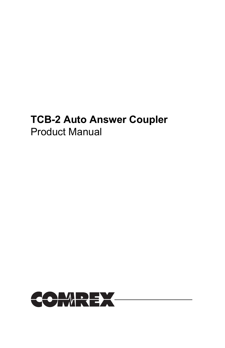# TCB-2 Auto Answer Coupler Product Manual

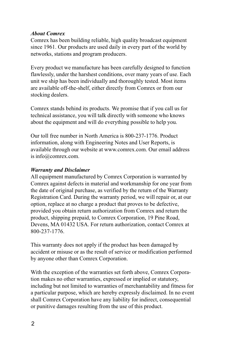#### About Comrex

Comrex has been building reliable, high quality broadcast equipment since 1961. Our products are used daily in every part of the world by networks, stations and program producers.

Every product we manufacture has been carefully designed to function flawlessly, under the harshest conditions, over many years of use. Each unit we ship has been individually and thoroughly tested. Most items are available off-the-shelf, either directly from Comrex or from our stocking dealers.

Comrex stands behind its products. We promise that if you call us for technical assistance, you will talk directly with someone who knows about the equipment and will do everything possible to help you.

Our toll free number in North America is 800-237-1776. Product information, along with Engineering Notes and User Reports, is available through our website at www.comrex.com. Our email address is info@comrex.com.

#### Warranty and Disclaimer

All equipment manufactured by Comrex Corporation is warranted by Comrex against defects in material and workmanship for one year from the date of original purchase, as verified by the return of the Warranty Registration Card. During the warranty period, we will repair or, at our option, replace at no charge a product that proves to be defective, provided you obtain return authorization from Comrex and return the product, shipping prepaid, to Comrex Corporation, 19 Pine Road, Devens, MA 01432 USA. For return authorization, contact Comrex at 800-237-1776.

This warranty does not apply if the product has been damaged by accident or misuse or as the result of service or modification performed by anyone other than Comrex Corporation.

With the exception of the warranties set forth above, Comrex Corporation makes no other warranties, expressed or implied or statutory, including but not limited to warranties of merchantability and fitness for a particular purpose, which are hereby expressly disclaimed. In no event shall Comrex Corporation have any liability for indirect, consequential or punitive damages resulting from the use of this product.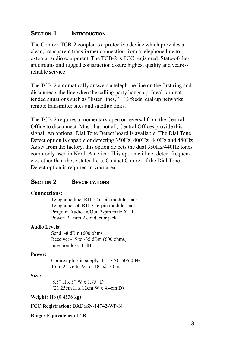## SECTION 1 **INTRODUCTION**

The Comrex TCB-2 coupler is a protective device which provides a clean, transparent transformer connection from a telephone line to external audio equipment. The TCB-2 is FCC registered. State-of-theart circuits and rugged construction assure highest quality and years of reliable service.

The TCB-2 automatically answers a telephone line on the first ring and disconnects the line when the calling party hangs up. Ideal for unattended situations such as "listen lines," IFB feeds, dial-up networks, remote transmitter sites and satellite links.

The TCB-2 requires a momentary open or reversal from the Central Office to disconnect. Most, but not all, Central Offices provide this signal. An optional Dial Tone Detect board is available. The Dial Tone Detect option is capable of detecting 350Hz, 400Hz, 440Hz and 480Hz. As set from the factory, this option detects the dual 350Hz/440Hz tones commonly used in North America. This option will not detect frequencies other than those stated here. Contact Comrex if the Dial Tone Detect option is required in your area.

### SECTION 2 SPECIFICATIONS

#### Connections:

Telephone line: RJ11C 6-pin modular jack Telephone set: RJ11C 6-pin modular jack Program Audio In/Out: 3-pin male XLR Power: 2.1mm 2 conductor jack

#### Audio Levels:

Send: -8 dBm (600 ohms) Receive: -15 to -35 dBm (600 ohms) Insertion loss: 1 dB

#### Power:

Comrex plug-in supply: 115 VAC 50/60 Hz 15 to 24 volts AC or DC @ 50 ma

#### Size:

 $8.5"$  H x 5" W x 1.75" D (21.25cm H x 12cm W x 4.4cm D)

Weight: 1lb (0.4536 kg)

FCC Registration: DXD6SN-14742-WP-N

Ringer Equivalence: 1.2B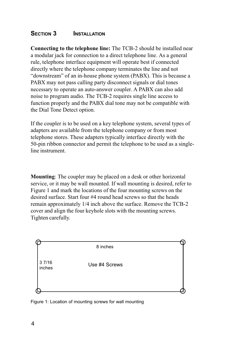## SECTION 3 **INSTALLATION**

Connecting to the telephone line: The TCB-2 should be installed near a modular jack for connection to a direct telephone line. As a general rule, telephone interface equipment will operate best if connected directly where the telephone company terminates the line and not "downstream" of an in-house phone system (PABX). This is because a PABX may not pass calling party disconnect signals or dial tones necessary to operate an auto-answer coupler. A PABX can also add noise to program audio. The TCB-2 requires single line access to function properly and the PABX dial tone may not be compatible with the Dial Tone Detect option.

If the coupler is to be used on a key telephone system, several types of adapters are available from the telephone company or from most telephone stores. These adapters typically interface directly with the 50-pin ribbon connector and permit the telephone to be used as a singleline instrument.

Mounting: The coupler may be placed on a desk or other horizontal service, or it may be wall mounted. If wall mounting is desired, refer to Figure 1 and mark the locations of the four mounting screws on the desired surface. Start four #4 round head screws so that the heads remain approximately 1/4 inch above the surface. Remove the TCB-2 cover and align the four keyhole slots with the mounting screws. Tighten carefully.



Figure 1: Location of mounting screws for wall mounting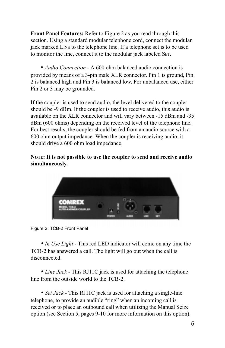Front Panel Features: Refer to Figure 2 as you read through this section. Using a standard modular telephone cord, connect the modular jack marked LINE to the telephone line. If a telephone set is to be used to monitor the line, connect it to the modular jack labeled SET.

• *Audio Connection* - A 600 ohm balanced audio connection is provided by means of a 3-pin male XLR connector. Pin 1 is ground, Pin 2 is balanced high and Pin 3 is balanced low. For unbalanced use, either Pin 2 or 3 may be grounded.

If the coupler is used to send audio, the level delivered to the coupler should be -9 dBm. If the coupler is used to receive audio, this audio is available on the XLR connector and will vary between -15 dBm and -35 dBm (600 ohms) depending on the received level of the telephone line. For best results, the coupler should be fed from an audio source with a 600 ohm output impedance. When the coupler is receiving audio, it should drive a 600 ohm load impedance.

## NOTE: It is not possible to use the coupler to send and receive audio simultaneously.



Figure 2: TCB-2 Front Panel

• In Use Light - This red LED indicator will come on any time the TCB-2 has answered a call. The light will go out when the call is disconnected.

• Line Jack - This RJ11C jack is used for attaching the telephone line from the outside world to the TCB-2.

• Set Jack - This RJ11C jack is used for attaching a single-line telephone, to provide an audible "ring" when an incoming call is received or to place an outbound call when utilizing the Manual Seize option (see Section 5, pages 9-10 for more information on this option).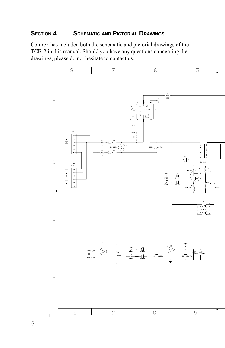## SECTION 4 **SCHEMATIC AND PICTORIAL DRAWINGS**

Comrex has included both the schematic and pictorial drawings of the TCB-2 in this manual. Should you have any questions concerning the drawings, please do not hesitate to contact us.



6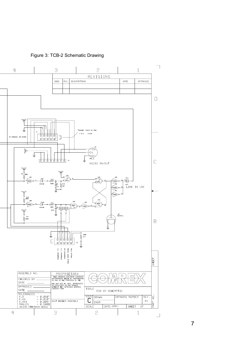Figure 3: TCB-2 Schematic Drawing

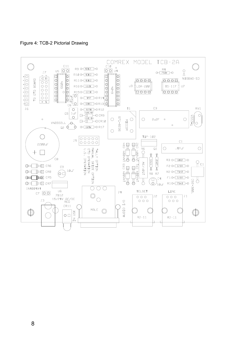Figure 4: TCB-2 Pictorial Drawing

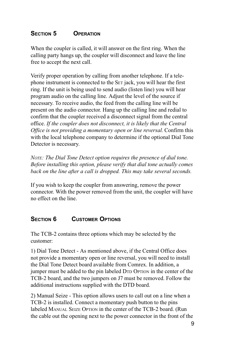## SECTION 5 OPERATION

When the coupler is called, it will answer on the first ring. When the calling party hangs up, the coupler will disconnect and leave the line free to accept the next call.

Verify proper operation by calling from another telephone. If a telephone instrument is connected to the SET jack, you will hear the first ring. If the unit is being used to send audio (listen line) you will hear program audio on the calling line. Adjust the level of the source if necessary. To receive audio, the feed from the calling line will be present on the audio connector. Hang up the calling line and redial to confirm that the coupler received a disconnect signal from the central office. If the coupler does not disconnect, it is likely that the Central Office is not providing a momentary open or line reversal. Confirm this with the local telephone company to determine if the optional Dial Tone Detector is necessary.

NOTE: The Dial Tone Detect option requires the presence of dial tone. Before installing this option, please verify that dial tone actually comes back on the line after a call is dropped. This may take several seconds.

If you wish to keep the coupler from answering, remove the power connector. With the power removed from the unit, the coupler will have no effect on the line.

# SECTION 6 CUSTOMER OPTIONS

The TCB-2 contains three options which may be selected by the customer:

1) Dial Tone Detect - As mentioned above, if the Central Office does not provide a momentary open or line reversal, you will need to install the Dial Tone Detect board available from Comrex. In addition, a jumper must be added to the pin labeled DTD OPTION in the center of the TCB-2 board, and the two jumpers on J7 must be removed. Follow the additional instructions supplied with the DTD board.

2) Manual Seize - This option allows users to call out on a line when a TCB-2 is installed. Connect a momentary push button to the pins labeled MANUAL SEIZE OPTION in the center of the TCB-2 board. (Run the cable out the opening next to the power connector in the front of the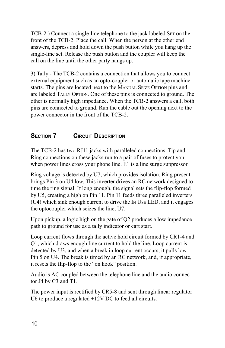TCB-2.) Connect a single-line telephone to the jack labeled SET on the front of the TCB-2. Place the call. When the person at the other end answers, depress and hold down the push button while you hang up the single-line set. Release the push button and the coupler will keep the call on the line until the other party hangs up.

3) Tally - The TCB-2 contains a connection that allows you to connect external equipment such as an opto-coupler or automatic tape machine starts. The pins are located next to the MANUAL SEIZE OPTION pins and are labeled TALLY OPTION. One of these pins is connected to ground. The other is normally high impedance. When the TCB-2 answers a call, both pins are connected to ground. Run the cable out the opening next to the power connector in the front of the TCB-2.

# SECTION 7 **CIRCUIT DESCRIPTION**

The TCB-2 has two RJ11 jacks with paralleled connections. Tip and Ring connections on these jacks run to a pair of fuses to protect you when power lines cross your phone line. E1 is a line surge suppressor.

Ring voltage is detected by U7, which provides isolation. Ring present brings Pin 3 on U4 low. This inverter drives an RC network designed to time the ring signal. If long enough, the signal sets the flip-flop formed by U5, creating a high on Pin 11. Pin 11 feeds three paralleled inverters (U4) which sink enough current to drive the IN USE LED, and it engages the optocoupler which seizes the line, U7.

Upon pickup, a logic high on the gate of Q2 produces a low impedance path to ground for use as a tally indicator or cart start.

Loop current flows through the active hold circuit formed by CR1-4 and Q1, which draws enough line current to hold the line. Loop current is detected by U3, and when a break in loop current occurs, it pulls low Pin 5 on U4. The break is timed by an RC network, and, if appropriate, it resets the flip-flop to the "on hook" position.

Audio is AC coupled between the telephone line and the audio connector J4 by C3 and T1.

The power input is rectified by CR5-8 and sent through linear regulator U6 to produce a regulated +12V DC to feed all circuits.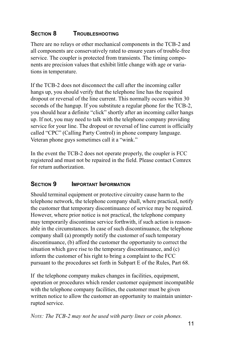# SECTION 8 **TROUBLESHOOTING**

There are no relays or other mechanical components in the TCB-2 and all components are conservatively rated to ensure years of trouble-free service. The coupler is protected from transients. The timing components are precision values that exhibit little change with age or variations in temperature.

If the TCB-2 does not disconnect the call after the incoming caller hangs up, you should verify that the telephone line has the required dropout or reversal of the line current. This normally occurs within 30 seconds of the hangup. If you substitute a regular phone for the TCB-2, you should hear a definite "click" shortly after an incoming caller hangs up. If not, you may need to talk with the telephone company providing service for your line. The dropout or reversal of line current is officially called "CPC" (Calling Party Control) in phone company language. Veteran phone guys sometimes call it a "wink."

In the event the TCB-2 does not operate properly, the coupler is FCC registered and must not be repaired in the field. Please contact Comrex for return authorization.

# SECTION 9 **IMPORTANT INFORMATION**

Should terminal equipment or protective circuitry cause harm to the telephone network, the telephone company shall, where practical, notify the customer that temporary discontinuance of service may be required. However, where prior notice is not practical, the telephone company may temporarily discontinue service forthwith, if such action is reasonable in the circumstances. In case of such discontinuance, the telephone company shall (a) promptly notify the customer of such temporary discontinuance, (b) afford the customer the opportunity to correct the situation which gave rise to the temporary discontinuance, and (c) inform the customer of his right to bring a complaint to the FCC pursuant to the procedures set forth in Subpart E of the Rules, Part 68.

If the telephone company makes changes in facilities, equipment, operation or procedures which render customer equipment incompatible with the telephone company facilities, the customer must be given written notice to allow the customer an opportunity to maintain uninterrupted service.

NOTE: The TCB-2 may not be used with party lines or coin phones.